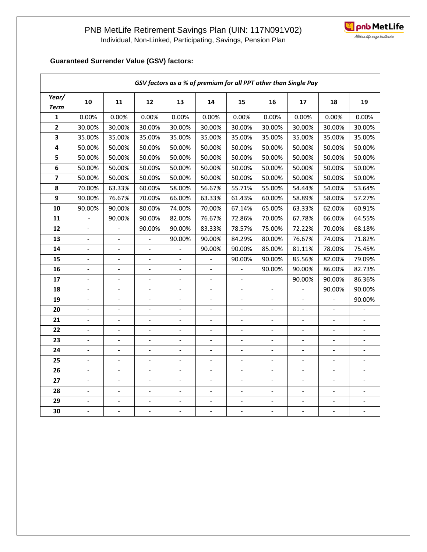

## **Guaranteed Surrender Value (GSV) factors:**

|                         | GSV factors as a % of premium for all PPT other than Single Pay |                          |                              |                          |                          |                              |                          |                              |                          |                          |  |  |
|-------------------------|-----------------------------------------------------------------|--------------------------|------------------------------|--------------------------|--------------------------|------------------------------|--------------------------|------------------------------|--------------------------|--------------------------|--|--|
| Year/<br><b>Term</b>    | 10                                                              | 11                       | 12                           | 13                       | 14                       | 15                           | 16                       | 17                           | 18                       | 19                       |  |  |
| 1                       | 0.00%                                                           | 0.00%                    | 0.00%                        | 0.00%                    | 0.00%                    | 0.00%                        | 0.00%                    | 0.00%                        | 0.00%                    | 0.00%                    |  |  |
| $\overline{2}$          | 30.00%                                                          | 30.00%                   | 30.00%                       | 30.00%                   | 30.00%                   | 30.00%<br>30.00%             |                          | 30.00%                       | 30.00%                   | 30.00%                   |  |  |
| $\overline{\mathbf{3}}$ | 35.00%                                                          | 35.00%                   | 35.00%                       | 35.00%                   | 35.00%                   | 35.00%                       |                          | 35.00%                       | 35.00%                   | 35.00%                   |  |  |
| $\overline{\mathbf{4}}$ | 50.00%                                                          | 50.00%                   | 50.00%                       | 50.00%                   | 50.00%                   | 50.00%                       | 50.00%                   | 50.00%                       | 50.00%                   | 50.00%                   |  |  |
| 5                       | 50.00%                                                          | 50.00%                   | 50.00%                       | 50.00%                   | 50.00%                   | 50.00%                       | 50.00%                   | 50.00%                       | 50.00%                   | 50.00%                   |  |  |
| 6                       | 50.00%                                                          | 50.00%                   | 50.00%                       | 50.00%                   | 50.00%                   | 50.00%                       | 50.00%                   | 50.00%                       | 50.00%                   | 50.00%                   |  |  |
| $\overline{\mathbf{z}}$ | 50.00%                                                          | 50.00%                   | 50.00%                       | 50.00%                   | 50.00%                   | 50.00%                       | 50.00%                   | 50.00%                       | 50.00%                   | 50.00%                   |  |  |
| 8                       | 70.00%                                                          | 63.33%                   | 60.00%                       | 58.00%                   | 56.67%                   | 55.71%                       | 55.00%                   | 54.44%                       | 54.00%                   | 53.64%                   |  |  |
| 9                       | 90.00%                                                          | 76.67%                   | 70.00%                       | 66.00%                   | 63.33%                   | 61.43%                       | 60.00%                   | 58.89%                       | 58.00%                   | 57.27%                   |  |  |
| 10                      | 90.00%                                                          | 90.00%                   | 80.00%                       | 74.00%                   | 70.00%                   | 67.14%                       | 65.00%                   | 63.33%                       | 62.00%                   | 60.91%                   |  |  |
| 11                      | $\overline{\phantom{a}}$                                        | 90.00%                   | 90.00%                       | 82.00%                   | 76.67%                   | 72.86%                       | 70.00%                   | 67.78%                       | 66.00%                   | 64.55%                   |  |  |
| 12                      | $\overline{\phantom{a}}$                                        |                          | 90.00%                       | 90.00%                   | 83.33%                   | 78.57%                       | 75.00%                   | 72.22%                       | 70.00%                   | 68.18%                   |  |  |
| 13                      | $\overline{a}$                                                  | $\overline{a}$           | $\overline{a}$               | 90.00%                   | 90.00%                   | 84.29%                       | 80.00%                   | 76.67%                       | 74.00%                   | 71.82%                   |  |  |
| 14                      | $\overline{\phantom{a}}$                                        | $\overline{\phantom{a}}$ | $\overline{\phantom{a}}$     | $\overline{\phantom{a}}$ | 90.00%                   | 90.00%                       | 85.00%                   | 81.11%                       | 78.00%                   | 75.45%                   |  |  |
| 15                      | $\overline{\phantom{a}}$                                        | $\overline{\phantom{a}}$ | $\overline{\phantom{a}}$     |                          |                          | 90.00%                       | 90.00%                   | 85.56%                       | 82.00%                   | 79.09%                   |  |  |
| 16                      | $\overline{\phantom{a}}$                                        | $\overline{a}$           | $\overline{\phantom{a}}$     | $\overline{\phantom{a}}$ | $\overline{\phantom{a}}$ |                              | 90.00%                   | 90.00%                       | 86.00%                   | 82.73%                   |  |  |
| 17                      | $\overline{a}$                                                  | $\overline{\phantom{0}}$ | $\frac{1}{2}$                |                          | $\overline{a}$           |                              |                          | 90.00%                       | 90.00%                   | 86.36%                   |  |  |
| 18                      | $\overline{a}$                                                  | $\overline{a}$           | $\blacksquare$               | $\overline{a}$           | $\overline{\phantom{a}}$ | $\overline{a}$               | $\overline{a}$           |                              | 90.00%                   | 90.00%                   |  |  |
| 19                      | $\overline{\phantom{a}}$                                        | $\blacksquare$           | $\qquad \qquad \blacksquare$ | $\overline{\phantom{a}}$ | $\blacksquare$           | $\qquad \qquad \blacksquare$ | $\overline{\phantom{0}}$ | $\qquad \qquad \blacksquare$ | $\qquad \qquad -$        | 90.00%                   |  |  |
| 20                      | $\overline{\phantom{a}}$                                        | $\overline{\phantom{a}}$ | $\overline{\phantom{a}}$     | $\overline{\phantom{a}}$ | $\overline{\phantom{a}}$ | $\blacksquare$               | $\overline{\phantom{0}}$ | $\blacksquare$               | $\blacksquare$           |                          |  |  |
| 21                      | $\blacksquare$                                                  | $\blacksquare$           | $\overline{\phantom{a}}$     | $\blacksquare$           | $\overline{\phantom{a}}$ | $\frac{1}{2}$                | $\overline{a}$           | $\blacksquare$               | $\overline{\phantom{a}}$ |                          |  |  |
| 22                      | $\overline{a}$                                                  | $\overline{\phantom{a}}$ | $\overline{a}$               |                          | $\overline{a}$           | $\overline{a}$               | $\overline{a}$           |                              | $\overline{a}$           |                          |  |  |
| 23                      | $\overline{\phantom{a}}$                                        | $\overline{\phantom{a}}$ | $\overline{\phantom{a}}$     | $\overline{\phantom{0}}$ | $\overline{\phantom{a}}$ | $\overline{\phantom{a}}$     | $\overline{\phantom{0}}$ | $\overline{\phantom{a}}$     | $\blacksquare$           | $\overline{\phantom{a}}$ |  |  |
| 24                      | $\overline{\phantom{a}}$                                        | $\overline{\phantom{a}}$ | $\overline{\phantom{a}}$     | $\blacksquare$           | $\overline{\phantom{a}}$ | $\overline{\phantom{a}}$     | $\qquad \qquad -$        | $\qquad \qquad \blacksquare$ | $\overline{\phantom{a}}$ | $\overline{\phantom{a}}$ |  |  |
| 25                      | $\blacksquare$                                                  | $\overline{\phantom{a}}$ | $\blacksquare$               | $\overline{\phantom{a}}$ | $\blacksquare$           | $\qquad \qquad \blacksquare$ | $\frac{1}{2}$            | $\overline{\phantom{a}}$     | $\blacksquare$           | $\overline{\phantom{a}}$ |  |  |
| 26                      | $\overline{\phantom{0}}$                                        | $\overline{\phantom{a}}$ | $\overline{a}$               | $\overline{\phantom{a}}$ | $\Box$                   | $\overline{\phantom{a}}$     | $\overline{a}$           | $\blacksquare$               | $\overline{\phantom{a}}$ | $\blacksquare$           |  |  |
| 27                      | $\overline{a}$                                                  | $\overline{a}$           | $\blacksquare$               |                          | $\overline{a}$           | $\overline{a}$               | $\overline{a}$           |                              | $\overline{a}$           |                          |  |  |
| 28                      | $\overline{\phantom{a}}$                                        | $\overline{\phantom{a}}$ | $\blacksquare$               |                          | $\blacksquare$           | $\overline{a}$               | $\overline{\phantom{0}}$ | $\overline{\phantom{a}}$     | $\frac{1}{2}$            | $\overline{a}$           |  |  |
| 29                      | $\overline{\phantom{a}}$                                        | $\overline{\phantom{a}}$ | $\overline{\phantom{a}}$     | $\overline{a}$           | $\overline{\phantom{a}}$ | $\qquad \qquad \blacksquare$ | $\overline{\phantom{0}}$ | $\qquad \qquad \blacksquare$ | $\overline{a}$           |                          |  |  |
| 30                      | $\overline{\phantom{a}}$                                        | $\overline{\phantom{a}}$ | $\overline{\phantom{a}}$     | $\overline{\phantom{a}}$ | $\overline{\phantom{a}}$ | $\overline{\phantom{a}}$     | $\overline{\phantom{0}}$ | $\overline{\phantom{a}}$     | $\overline{\phantom{a}}$ | $\overline{\phantom{a}}$ |  |  |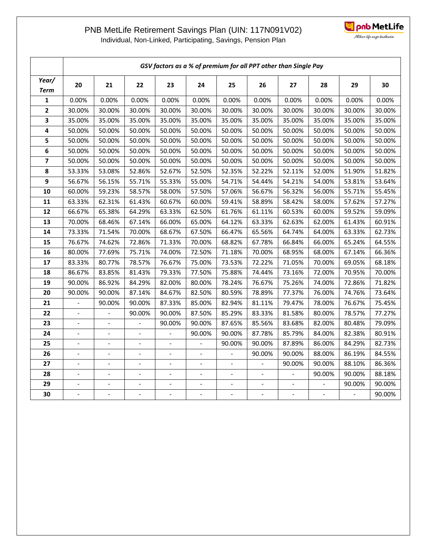## PNB MetLife Retirement Savings Plan (UIN: 117N091V02)



Individual, Non-Linked, Participating, Savings, Pension Plan

|                         | GSV factors as a % of premium for all PPT other than Single Pay |                              |                          |                |                          |                |        |        |                  |        |        |  |  |
|-------------------------|-----------------------------------------------------------------|------------------------------|--------------------------|----------------|--------------------------|----------------|--------|--------|------------------|--------|--------|--|--|
| Year/<br><b>Term</b>    | 20                                                              | 21                           | 22                       | 23             | 24                       | 25             | 26     | 27     | 28               | 29     | 30     |  |  |
| $\mathbf 1$             | 0.00%                                                           | 0.00%                        | 0.00%                    | 0.00%          | 0.00%                    | 0.00%          | 0.00%  | 0.00%  | 0.00%            | 0.00%  | 0.00%  |  |  |
| $\overline{\mathbf{2}}$ | 30.00%                                                          | 30.00%                       | 30.00%                   | 30.00%         | 30.00%                   | 30.00%         | 30.00% | 30.00% | 30.00%<br>30.00% |        | 30.00% |  |  |
| 3                       | 35.00%                                                          | 35.00%                       | 35.00%                   | 35.00%         | 35.00%                   | 35.00%         | 35.00% | 35.00% | 35.00%           | 35.00% | 35.00% |  |  |
| 4                       | 50.00%                                                          | 50.00%                       | 50.00%                   | 50.00%         | 50.00%                   | 50.00%         | 50.00% | 50.00% | 50.00%           | 50.00% | 50.00% |  |  |
| 5                       | 50.00%                                                          | 50.00%                       | 50.00%                   | 50.00%         | 50.00%                   | 50.00%         | 50.00% | 50.00% | 50.00%           | 50.00% | 50.00% |  |  |
| 6                       | 50.00%                                                          | 50.00%                       | 50.00%                   | 50.00%         | 50.00%                   | 50.00%         | 50.00% | 50.00% | 50.00%           | 50.00% | 50.00% |  |  |
| $\overline{\mathbf{z}}$ | 50.00%                                                          | 50.00%                       | 50.00%                   | 50.00%         | 50.00%                   | 50.00%         | 50.00% | 50.00% | 50.00%           | 50.00% | 50.00% |  |  |
| 8                       | 53.33%                                                          | 53.08%                       | 52.86%                   | 52.67%         | 52.50%                   | 52.35%         | 52.22% | 52.11% | 52.00%           | 51.90% | 51.82% |  |  |
| $\boldsymbol{9}$        | 56.67%                                                          | 56.15%                       | 55.71%                   | 55.33%         | 55.00%                   | 54.71%         | 54.44% | 54.21% | 54.00%           | 53.81% | 53.64% |  |  |
| 10                      | 60.00%                                                          | 59.23%                       | 58.57%                   | 58.00%         | 57.50%                   | 57.06%         | 56.67% | 56.32% | 56.00%           | 55.71% | 55.45% |  |  |
| 11                      | 63.33%                                                          | 62.31%                       | 61.43%                   | 60.67%         | 60.00%                   | 59.41%         | 58.89% | 58.42% | 58.00%           | 57.62% | 57.27% |  |  |
| 12                      | 66.67%                                                          | 65.38%                       | 64.29%                   | 63.33%         | 62.50%                   | 61.76%         | 61.11% | 60.53% | 60.00%           | 59.52% | 59.09% |  |  |
| 13                      | 70.00%                                                          | 68.46%                       | 67.14%                   | 66.00%         | 65.00%                   | 64.12%         | 63.33% | 62.63% | 62.00%           | 61.43% | 60.91% |  |  |
| 14                      | 73.33%                                                          | 71.54%                       | 70.00%                   | 68.67%         | 67.50%                   | 66.47%         | 65.56% | 64.74% | 64.00%           | 63.33% | 62.73% |  |  |
| 15                      | 76.67%                                                          | 74.62%                       | 72.86%                   | 71.33%         | 70.00%                   | 68.82%         | 67.78% | 66.84% | 66.00%           | 65.24% | 64.55% |  |  |
| 16                      | 80.00%                                                          | 77.69%                       | 75.71%                   | 74.00%         | 72.50%                   | 71.18%         | 70.00% | 68.95% | 68.00%           | 67.14% | 66.36% |  |  |
| 17                      | 83.33%                                                          | 80.77%                       | 78.57%                   | 76.67%         | 75.00%                   | 73.53%         | 72.22% | 71.05% | 70.00%           | 69.05% | 68.18% |  |  |
| 18                      | 86.67%                                                          | 83.85%                       | 81.43%                   | 79.33%         | 77.50%                   | 75.88%         | 74.44% | 73.16% | 72.00%           | 70.95% | 70.00% |  |  |
| 19                      | 90.00%                                                          | 86.92%                       | 84.29%                   | 82.00%         | 80.00%                   | 78.24%         | 76.67% | 75.26% | 74.00%           | 72.86% | 71.82% |  |  |
| 20                      | 90.00%                                                          | 90.00%                       | 87.14%                   | 84.67%         | 82.50%                   | 80.59%         | 78.89% | 77.37% | 76.00%           | 74.76% | 73.64% |  |  |
| 21                      |                                                                 | 90.00%                       | 90.00%                   | 87.33%         | 85.00%                   | 82.94%         | 81.11% | 79.47% | 78.00%           | 76.67% | 75.45% |  |  |
| 22                      |                                                                 |                              | 90.00%                   | 90.00%         | 87.50%                   | 85.29%         | 83.33% | 81.58% | 80.00%           | 78.57% | 77.27% |  |  |
| 23                      |                                                                 |                              |                          | 90.00%         | 90.00%                   | 87.65%         | 85.56% | 83.68% | 82.00%           | 80.48% | 79.09% |  |  |
| 24                      | $\overline{\phantom{a}}$                                        | $\qquad \qquad \blacksquare$ | $\overline{\phantom{a}}$ | $\overline{a}$ | 90.00%                   | 90.00%         | 87.78% | 85.79% | 84.00%           | 82.38% | 80.91% |  |  |
| 25                      | $\overline{\phantom{a}}$                                        | $\overline{a}$               | $\overline{\phantom{a}}$ | $\overline{a}$ | $\overline{\phantom{a}}$ | 90.00%         | 90.00% | 87.89% | 86.00%           | 84.29% | 82.73% |  |  |
| 26                      |                                                                 | $\overline{a}$               | $\overline{\phantom{a}}$ | $\overline{a}$ |                          |                | 90.00% | 90.00% | 88.00%           | 86.19% | 84.55% |  |  |
| 27                      |                                                                 |                              | $\overline{a}$           |                |                          |                |        | 90.00% | 90.00%           | 88.10% | 86.36% |  |  |
| 28                      |                                                                 | $\overline{a}$               | $\overline{a}$           |                | $\overline{a}$           | $\overline{a}$ |        |        | 90.00%           | 90.00% | 88.18% |  |  |
| 29                      |                                                                 | $\overline{a}$               | $\overline{a}$           | $\overline{a}$ |                          |                |        |        |                  | 90.00% | 90.00% |  |  |
| 30                      |                                                                 |                              |                          |                |                          |                |        |        |                  |        | 90.00% |  |  |